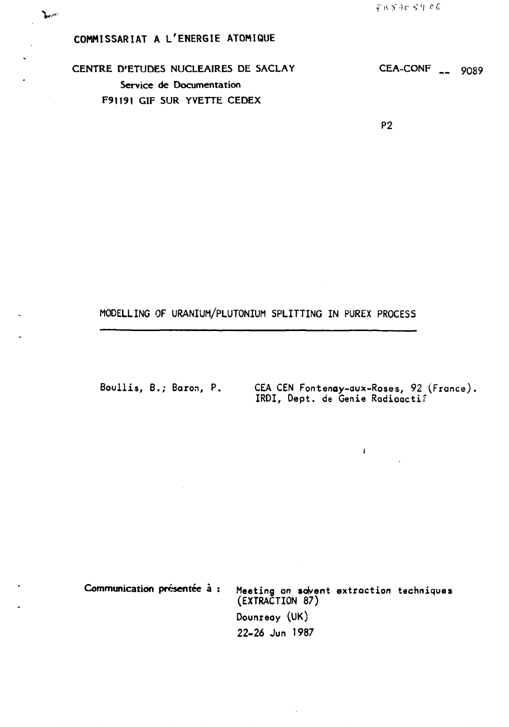f"iO"-)r *<<sup>c</sup> l °C* 

**v.-""-**

# **COMMISSARIAT A L'ENERGIE ATOMIQUE**

**CENTRE D'ETUDES NUCLEAIRES DE SACLAY CEA-CONF \_\_ o<sup>0</sup> 89 Service de Documentation F91191 GIF SUR YVETTE CEDEX** 

**P2** 

## **MODELLING OF URANIUM/PLUTONIUM SPLITTING IN PUREX PROCESS**

**Boullis, B.; Baron, P. CEA CEN Fontenay-aux-Roses, 92 (France), IRDI, Dept. de Genie Radioactif** 

 $\mathbf{f}(\cdot)$  .

**Communication présentée à : Meeting on solvent extroction techniques (EXTRACTION 87) Dounxeay (UK) 22-26 Jun 1987**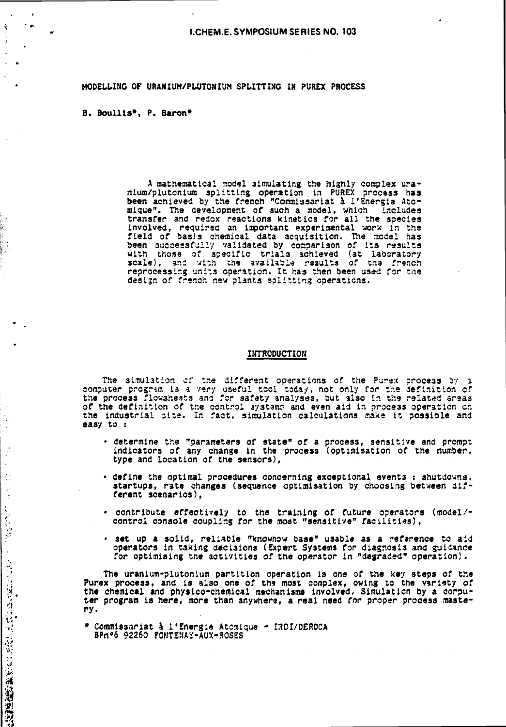## **MODELLING OF URANIUM/PLUTONIUM SPLITTING IN PUREX PROCESS**

### **B. Boullis\*. P. Baron\***

 $\sim$   $\sim$ 

 $\frac{1}{2}$ 

 $\ddot{\cdot}$ 

 $\bar{z}$  $\frac{1}{2}$ 

 $\frac{1}{2}$ 

 $\frac{d}{2}$  .  $\frac{1}{\lambda}$ 

 $\mathcal{L}$ 

**このことは、その時には、「また、「また、」** 

**A mathematical model simulating the highly complex uranium/plutonium splitting operation in PUREX process has been achieved by the french "Commissariat à l'Energie Atomique". The development of such a model, which includes transfer and redox reactions kinetics for all the species involved, required an important experimental work** *in* **the field of basis chemical data acquisition. The model has been successfully validated by comparison of its results with those of specific tr:al3 achieved (at laboratory scale), and with the available results of the french reprocessir.g unit3 operation. It has then been used for the design of french new plants splitting operations.** 

### **INTRODUCTION**

**The simulation of the different operations of the Purex process by a computer program is a very useful tool today, not only for the definition cf the process flowsheets and for safety analyses, but also in the related areas**  of the definition of the control systems and even aid in process operation on **the industrial site. In fact, simulation calculations make it possible and easy to :** 

- **determine the "parameters of state" of a process, sensitive and prompt indicators of any change in the process (optimisation of the number, type and location of the sensors),**
- **define the optimal procedures concerning exceptional event3 : shutdowns,**  startups, rate changes (sequence optimisation by choosing between dif**ferent scenarios),**
- **contribute effectively to the training of future operators (model/ control console coupling for the most "sensitive" facilities),**
- **set up a solid, reliable "knowhow base" usable as a reference to aid operators in taking decisions (Expert Systems for diagnosis and guidance for optimising the activities of the operator in "degraded" operation).**

**The uranium-plutonium partition operation is one of the key steps of the**  Purex process, and is also one of the most complex, owing to the variety of **the chemical and physico-chemical mechanisms involved. Simulation by a corputer program is here, more than anywhere, a real need for proper process mastery.** 

**\* Commissariat à l'Energie Atomique - I3DI/DERDCA**  BPn°6 92260 FONTENAY-AUX-ROSES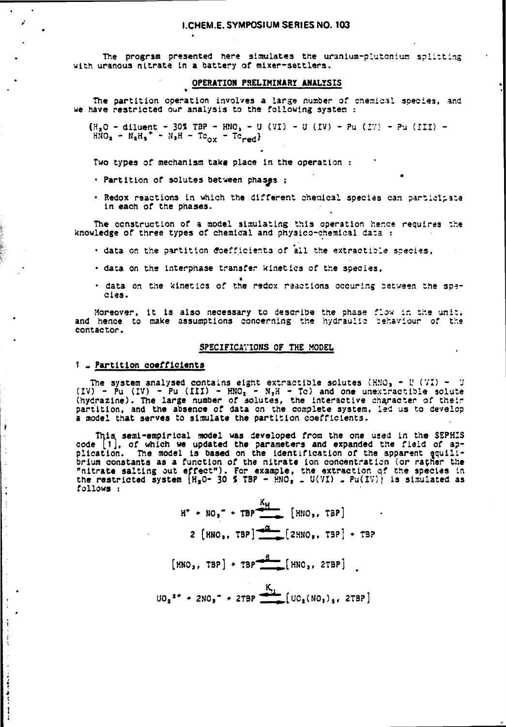## **I.CHEM.E. SYMPOSIUM SERIES NO. 103**

The program presented here simulates the uranium-plutcnium splitting **with uranous nitrate in a battery of mixer-settlers.** 

#### **OPERATION PRELIMINARY ANALYSIS •**  $\blacksquare$

**The partition operation involves a large number of chemical species, and we have restricted our analysis to the following system :** 

 ${H_2O - diluent - 305 T3P - HNO_2 - U (VI) - U (IV) - Pu (IV) - Pu (III) -}$  $HMO_{2} - N_{2}H_{5}^{*}$  **-**  $N_{3}H - Tc_{ox}$  **-**  $Tc_{red}$ 

**Two types of mechanism take place in the operation :** 

- **Partition of solutes between phases ;**
- **Redox reactions in which the different chemical species can participate in each of the phases.**

The construction of a model simulating this operation hence requires the **knowledge of three types of chemical and physico-chemical data :** 

- **data on the partition coefficients of all the extracticle scecies,**
- **data on the interphase transfer kinetics of the species,**
- **data on the kinetics of the redox reactions occuring between the species.**

**Moreover, it is also necessary to describe the phase flow in the unit,**  and hence to make assumptions concerning the hydraulic cehaviour of the **contactor.** 

## **SPECIFICATIONS OF THE MODEL**

## **1 « Partition coefficients**

1

The system analysed contains eight extractible solutes  $\{HNO_3 - U(VI) - U\}$ **(IV) - Pu (IV) - Pu (III) - HMO, •- N,H - Tc) and one unextractible solute (hydrazine). The large number of solutes, the interactive character of their partition, and the absence of data on the complete system, led us to develop a model that serves to simulate the partition coefficients.** 

**This semi-empirical model was developed from the one used in the SSPHIS code [1J, of which we updated the parameters and expanded the field of application. The model is based on the identification of the apparent equilibrium constants as a function of the nitrate ion concentrâticn (or rather the "nitrate salting out effect"). For example, the extraction qf the species in**  the restricted system  $H_2O - 30$  % TBP - HMO<sub>3</sub>  $= U(VI)$   $=$  Pu(IV)} is simulated as **follOWS !** 

$$
H^{+} + NO_{3}^{-} + TBP \xrightarrow{K_{H}} [HMO_{3}, TBP]
$$
  
\n
$$
2 [HMO_{3}, TBP] \xrightarrow{6} [2HNO_{3}, TBP] + TBP
$$
  
\n
$$
[HMO_{3}, TBP] + TBP \xrightarrow{8} [HMO_{3}, 2TBP]
$$
  
\n
$$
UO_{2}^{2+} + 2NO_{3}^{-} + 2TBP \xrightarrow{K_{1}} [UO_{2}(NO_{3})_{2}, 2TBP]
$$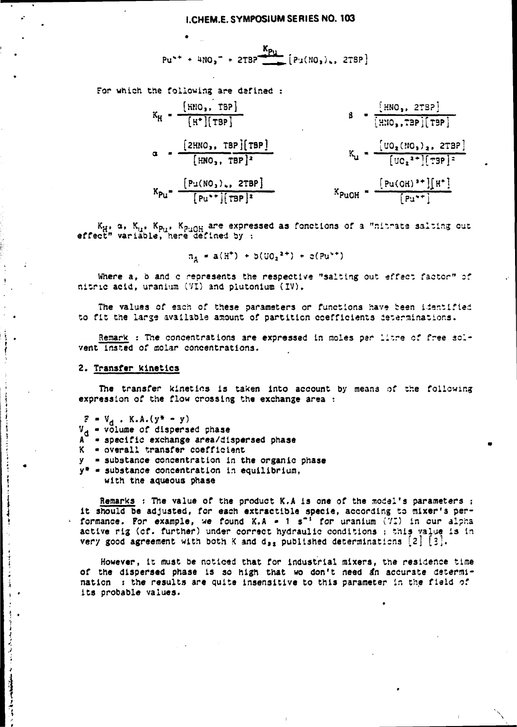$$
Pu^{++} + 4NO_3^- + 2TBP \xrightarrow{Kp_U} [Pu(MO_3)_*, 2TBP]
$$

**For which the following are defined :** 

$$
K_{H} = \frac{\begin{bmatrix} \text{HIO}_{3}, \text{TBP} \end{bmatrix}}{\begin{bmatrix} \text{H*} \end{bmatrix} \begin{bmatrix} \text{TBP} \end{bmatrix}}
$$
  
\n
$$
B = \frac{\begin{bmatrix} \text{HIO}_{3}, \text{TBP} \end{bmatrix} \begin{bmatrix} \text{TBP} \end{bmatrix}}{\begin{bmatrix} \text{HIO}_{3}, \text{TBP} \end{bmatrix} \begin{bmatrix} \text{TBP} \end{bmatrix}}
$$
  
\n
$$
K_{U} = \frac{\begin{bmatrix} \text{UO}_{2}(\text{HO}_{3})_{2}, \text{ZTBP} \end{bmatrix}}{\begin{bmatrix} \text{UO}_{2}^{2+1} \end{bmatrix} \begin{bmatrix} \text{TBP} \end{bmatrix} \begin{bmatrix} \text{HIO}_{3}, \text{TBP} \end{bmatrix} \begin{bmatrix} \text{HIO}_{3} \end{bmatrix}} = \frac{\begin{bmatrix} \text{UO}_{2}(\text{HO}_{3})_{2}, \text{ZTBP} \end{bmatrix}}{\begin{bmatrix} \text{PUOH}^{3+1} \end{bmatrix} \begin{bmatrix} \text{H*} \end{bmatrix} \begin{bmatrix} \text{PUOH}^{3+1} \end{bmatrix} \begin{bmatrix} \text{H*} \end{bmatrix}}
$$

**K<sub>H\*</sub>**  $\alpha$  **b**<sub>,</sub> **K<sub>H\*</sub> K**<sub>PuOH</sub><sub>2</sub> are expressed as fonctions of a "nitrate salting **effect" variable, here defined by :** 

$$
n_A = a(H^+) + b(U0_2^{2+}) + c(Pu^{+})
$$

**Where a, o and c represents the respective "salting out effect factor" of nitric acid, uranium (VI) and plutonium (IV).** 

**The values of each of these parameters or functions have teen identified to fit the lar3« available amount of partition coefficients determinations.** 

**Remark : The concentrations are expressed in moles par litre of free solvent insted of molar concentrations.** 

#### **2. Transfer Kinetics**

**The transfer kinetics is taken into account by means of the following expression of the flow crossing the exchange area :** 

 $P = V_d$ . K.A.(y\* – y)

 $\label{eq:1} \begin{split} \mathcal{L}_{\text{in}} = \mathcal{L}_{\text{in}} + \mathcal{L}_{\text{in}} + \mathcal{L}_{\text{out}} + \mathcal{L}_{\text{out}} + \mathcal{L}_{\text{out}} + \mathcal{L}_{\text{out}} + \mathcal{L}_{\text{out}} + \mathcal{L}_{\text{out}} + \mathcal{L}_{\text{out}} + \mathcal{L}_{\text{out}} + \mathcal{L}_{\text{out}} + \mathcal{L}_{\text{out}} + \mathcal{L}_{\text{out}} + \mathcal{L}_{\text{out}} + \mathcal{L}_{\text{out}} + \mathcal{L}_{\text{out}} + \mathcal{$ 

š,

 $\frac{1}{2}$ 

 $\mathfrak{f}$ 

 $\ddot{\cdot}$ 

**Contract of Science of** 

- **Vg « volume of dispersed phase**
- **A specific exchange area/dispersed phase**
- **K overall transfer coefficient**
- **y substance concentration in the organic phase**
- **y\* substance concentration in equilibrium, with the aqueous phase**

**Remarks : The value of the product K.A is one of the model's parameters ; it should be adjusted, for each extractible specie, according to mixer's performance. For example, we found K.A - 1 s"' for uranium (VI) in cur alpha active rig (cf. further) under correct hydraulic conditions ; this value is In very good agreement with both K and**  $d_{32}$  **published determinations**  $[2] [3]$ **.** 

**However, it must be noticed that for industrial mixers, the residence time**  of the dispersed phase is so high that wo don't need an accurate determi**nation : the results are quite insensitive to this parameter in the field of its probable values.**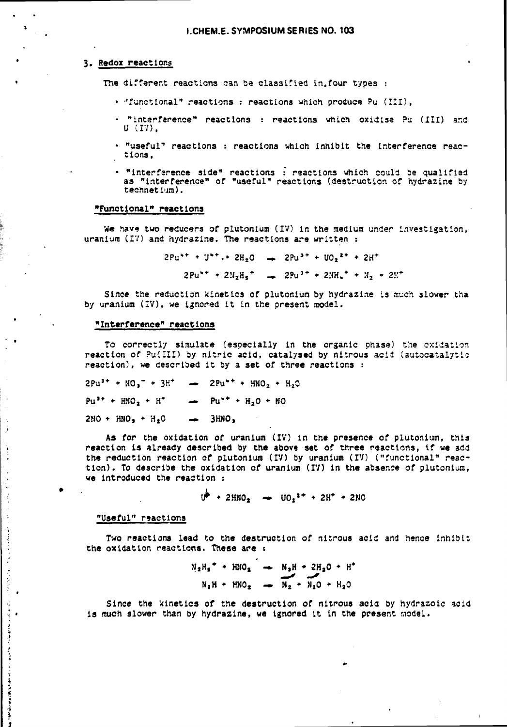## **3. Redox reactions**

**The different reactions can be classified in.four types :** 

- **''functional" reactions : reactions which produce Pu (III),**
- **"interference" reactions : reactions which oxidise Pu (III) ar.d U (17),**
- **"useful" reactions : reactions which inhibit the interference reactions,**
- **"interference side" reactions : reactions which could be qualified as "interference" of "useful" reactions (destruction of hydrazine by technetium).**

## **"Functional" reactions**

**We have two reducers of plutonium (IV) in the medium under investigation, uranium (IV) and hydrazine. The reactions are written :** 

> $2Pu^{*+} + U^{*+} + 2H_2O \rightarrow 2Pu^{*+} + UO_2^{*+} + 2H^+$  $2Pu^{*+} + 2N_2H_5$ <sup>+</sup>  $\rightarrow$   $2Pu^{*+} + 2MH_5$ <sup>+</sup>  $\rightarrow$   $N_2 + 2K^+$

**Since the reduction kinetics of plutonium by hydrazine is much 3lower tha by uranium (IV), we ignored it in the present model.** 

#### **"Interference" reactions**

**To correctly simulate (especially in the organic phase) the oxidation reaction of ?u(III) by nitric acid, catalysed by nitrous acid (autocatalytic reaction), we described it by a set of three reactions :** 

 $2Pu^{3+} + NO_1^- + 3H^+ \rightarrow 2Pu^{*+} + HNO_2 + H_2O$  $Pu^{3+} + HNO_2 + H^+$   $\longrightarrow$   $Pu^{++} + H_2O + NO$ **2H0 • HNO, • H<sup>2</sup> 0 — 3HNO,** 

**As for the oxidation of uranium (IV) in the presence of plutonium, this reaction is already described by the above set of three reactions, if we add the reduction reaction of plutonium (IV) by uranium (IV) ("functional" reaction). To describe the oxidation of uranium (IV) in the absence of plutonium, we introduced the reaction :** 

 $U^{\flat}$  + 2HNO<sub>2</sub>  $\rightarrow$  UO<sub>2</sub><sup>2+</sup> + 2H<sup>+</sup> + 2NO

## **"Useful" reactions**

 $\ddot{.}$ 

÷

 $\ddot{\phantom{a}}$ 

 $\begin{array}{c} 1 \\ 1 \\ 2 \end{array}$ 

Ą,

医肠切除术 医血管麻痹

والمعارض والمستقامات

**Two reactions lead to the destruction of nitrous acid and hence inhibit the oxidation reactions. These are s** 

$$
N_2H_5^* + HNO_2 \longrightarrow N_2H + 2H_2O + H^*
$$
  

$$
N_2H + HNO_2 \longrightarrow N_2 + N_2O + H_2O
$$

**Since the kinetics of the destruction of nitrous acio by hydrazoic acid is much slower than by hydrazine, we ignored It In the present model.**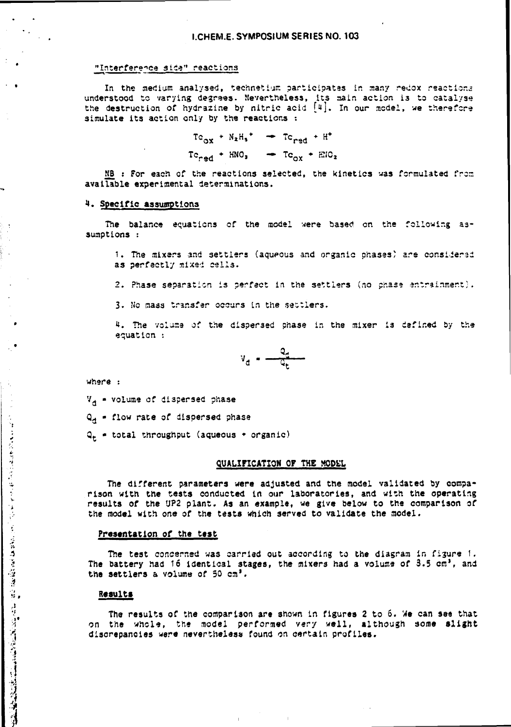### "Interférence sise" reactions

**In the medium analysed, technetium participates in many redox reactions understood to varying degrees. Nevertheless, its main action i3 to catalyse the destruction of hydrazine by nitric acid [u]. In our model, we therefore simulate its action only by the reactions :** 

> $T c_{ox}$  **+**  $N_2 H_3$  **+**  $T c_{red}$  +  $H^*$  $T c_{\text{rad}} + HNO_3 \rightarrow T c_{\text{ox}} + HNO_2$

**KB : For each of the reactions selected, the kinetics was formulated frcrs available experimental determinations.** 

### **1. Specific assumptions**

**The balance equations of the model were based on the following assumptions :** 

**1. The mixers and settlers (aqueous and organic phases) are considerad as perfectly mixed cells.** 

2. Phase separation is perfect in the settlers (no phase entrainment).

**3. No mass transfer occurs in the settlers.** 

**4. The volume of the dispersed phase in the mixer is defined by the equation :** 

$$
v_{d} = \frac{q_{d}}{q_{t}}
$$

**where :** 

۰,

 $\frac{1}{2}$ 

化自动反应性反应电子医反应 医血管膜炎 医血管神经质量性神经质量性

**Vd « volume of dispersed phase** 

**Qjj - flow rate of dispersed phase** 

**Q <sup>t</sup> - total throughput (aqueous • organic)** 

## **QUALIFICATION OP THE MODEL**

**The different parameters were adjusted and the model validated by comparison with the tests conducted in our laboratories, and with the operating results of the UP2 plant. As an example, we give below to the comparison of the model with one of the tests which served to validate the model.** 

### **Presentation of the test**

**The test concerned was carried out according to the diagram in figure 1. The battery had** *îô* **identical stages, the mixers had a volume of 3.5 cm', and the settlers a volume of 50 cm'.** 

## **Results**

**The results of the comparison are shown in figures 2 to 6. We can see that on the whole, the model performed** *very* **well, although some slight discrepancies were nevertheless found on certain profiles.**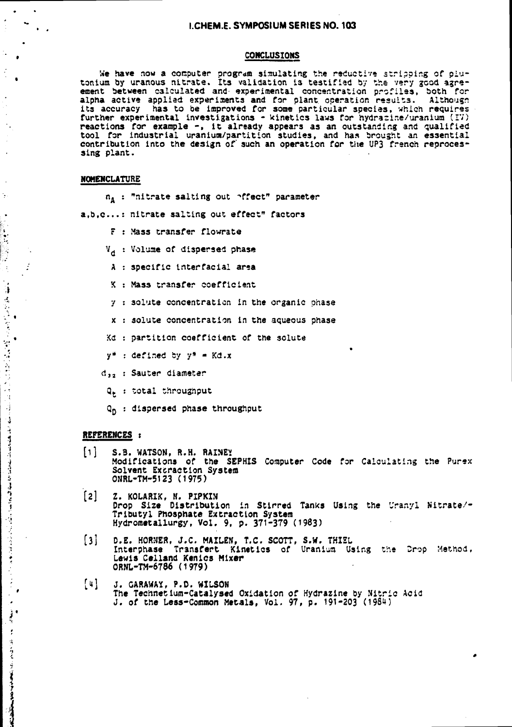#### **I.CHEM.E. SYMPOSIUM SERIES NO. 103**

#### **CONCLUSIONS**

**We have now a computer program simulating the reductive stripping of plutonium by uranous nitrate, its validation is testified by the very good agreement between calculated and- experimental concentration profiles, both for alpha active applied experiments and for plant operation results. Although its accuracy has to be improved for some particular species, which requires further experimental investigations - kinetics laws for hydrasine/uranium (IV) reactions for example -, it already appears as an outstanding and qualified tool for industrial uranium/partition studies, and has brought an essential contribution into the design of" such an operation for the UP3 french reprocessing plant.** 

#### **NOMENCLATURE**

 $\frac{1}{2}$  .

Į.

r.

Ì,

ा  $\sigma_{\rm e}$ 

各部分社員

 $\mathcal{A}$  $\frac{1}{2}$  $\frac{1}{2}$ 

医牙牙牙骨肉 医神经反射

 $\frac{1}{2}$ 

نې<br>بر

 $\frac{1}{2}$  $\bullet$ į,  $\mathbf{f}$ 

÷.

 $\mathbb{R}^2$ 

**"nitrate salting out "•ffect" parameter** 

**a,b.c... nitrate salting out effect" factors** 

- **F Mass transfer flowrate**
- **<sup>V</sup> d Volume of dispersed phase**
- **A specific tnterfaciai arsa**
- **K Mass transfer coefficient**
- **7 30lute concentration in the organic phase**
- **x solute concentration in the aqueous phase**
- **:<d partition coefficient of the solute**
- **y\* defined by y\* Kd.x**
- **d , <sup>2</sup> Sauter diameter**
- **total throughput**
- **dispersed phase throughput**

#### **REFERENCES :**

- $\lceil \cdot \rceil$ **S.3. WATSON, R.H. RAINE? Modifications of the SEPHIS Computer Code for Calculating the Purex Solvent Extraction System ONRL-TM-5123 (1975)**
- [2] **Z. KOLARIK, N. PIPKIN Drop Size Distribution in Stirred Tanks Using the Uranyl Nitrate/- Tributyl Phosphate Extraction System Hydrometallurgy, Vol . 9, p . 371-379 (1983)**
- $[3]$ **D.E. HORNER, J.C. MAILEN, T.C. SCOTT, S.W. THISL**  Interphase Transfert Kinetics of Uranium Using the Drop Method, **Lewis Celland Kenics Mixer ORNL-TM-6786 (1979)**
- $[4]$ **J. CARAWAY, P.O. WILSON**  The Technetium-Catalysed Oxidation of Hydrazine by Nitric Acid **J. of the Less-Common Metals, Vol. 97, p. 191-203 (1984)**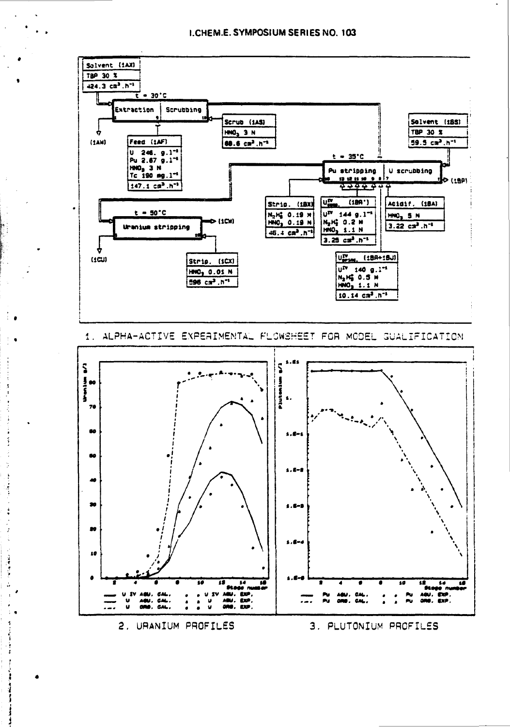



## 2. URANIUM PROFILES

3. PLUTONIUM PROFILES